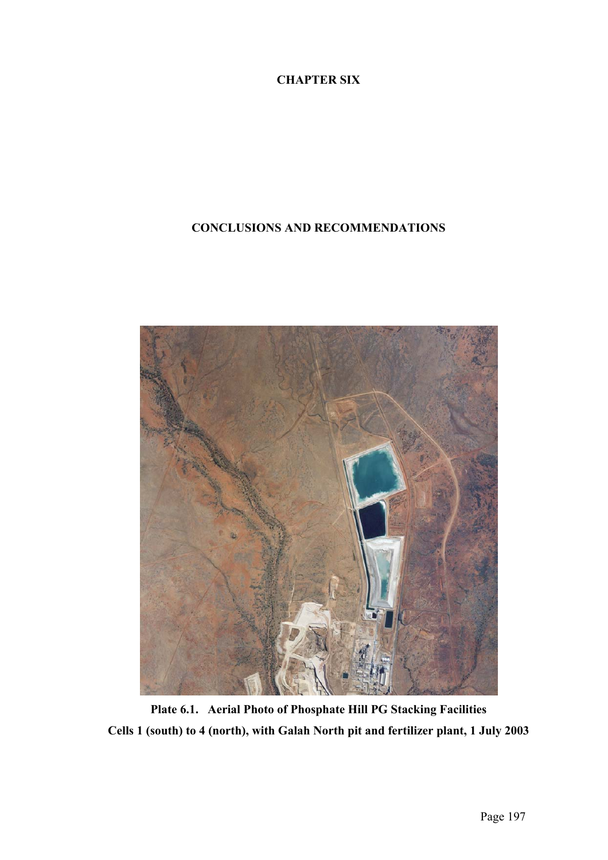## **CHAPTER SIX**

## **CONCLUSIONS AND RECOMMENDATIONS**



**Plate 6.1. Aerial Photo of Phosphate Hill PG Stacking Facilities Cells 1 (south) to 4 (north), with Galah North pit and fertilizer plant, 1 July 2003**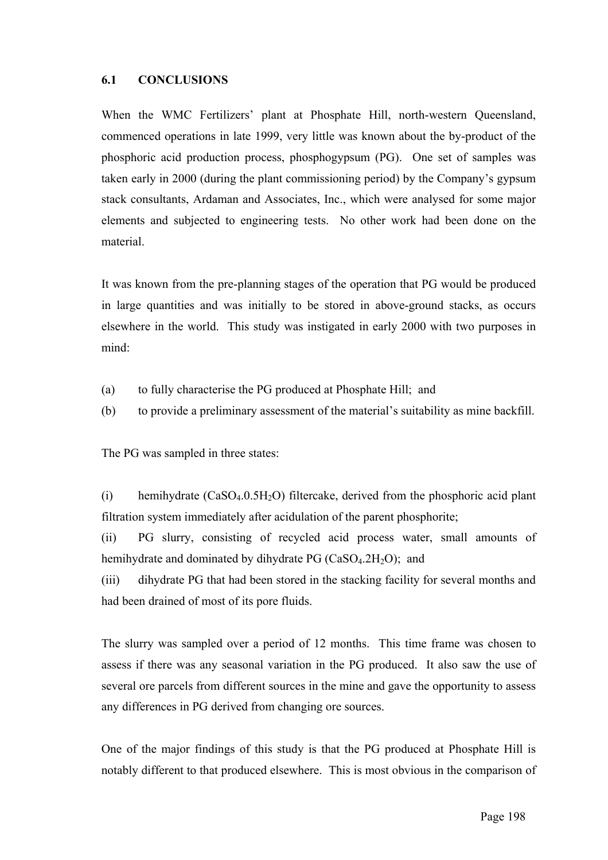## **6.1 CONCLUSIONS**

When the WMC Fertilizers' plant at Phosphate Hill, north-western Queensland, commenced operations in late 1999, very little was known about the by-product of the phosphoric acid production process, phosphogypsum (PG). One set of samples was taken early in 2000 (during the plant commissioning period) by the Company's gypsum stack consultants, Ardaman and Associates, Inc., which were analysed for some major elements and subjected to engineering tests. No other work had been done on the material.

It was known from the pre-planning stages of the operation that PG would be produced in large quantities and was initially to be stored in above-ground stacks, as occurs elsewhere in the world. This study was instigated in early 2000 with two purposes in mind:

- (a) to fully characterise the PG produced at Phosphate Hill; and
- (b) to provide a preliminary assessment of the material's suitability as mine backfill.

The PG was sampled in three states:

(i) hemihydrate  $(CaSO<sub>4</sub>.0.5H<sub>2</sub>O)$  filtercake, derived from the phosphoric acid plant filtration system immediately after acidulation of the parent phosphorite;

(ii) PG slurry, consisting of recycled acid process water, small amounts of hemihydrate and dominated by dihydrate PG  $(CaSO<sub>4</sub>.2H<sub>2</sub>O)$ ; and

(iii) dihydrate PG that had been stored in the stacking facility for several months and had been drained of most of its pore fluids.

The slurry was sampled over a period of 12 months. This time frame was chosen to assess if there was any seasonal variation in the PG produced. It also saw the use of several ore parcels from different sources in the mine and gave the opportunity to assess any differences in PG derived from changing ore sources.

One of the major findings of this study is that the PG produced at Phosphate Hill is notably different to that produced elsewhere. This is most obvious in the comparison of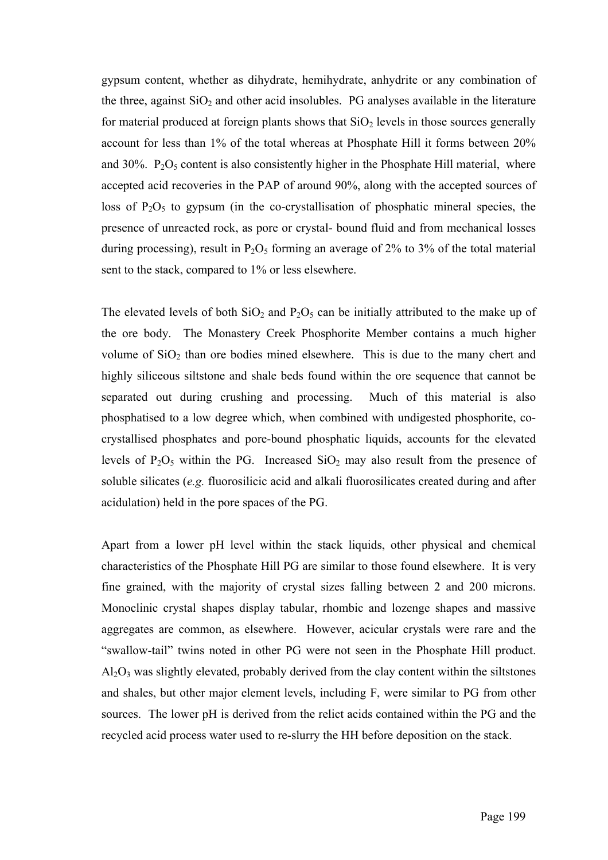gypsum content, whether as dihydrate, hemihydrate, anhydrite or any combination of the three, against  $SiO<sub>2</sub>$  and other acid insolubles. PG analyses available in the literature for material produced at foreign plants shows that  $SiO<sub>2</sub>$  levels in those sources generally account for less than 1% of the total whereas at Phosphate Hill it forms between 20% and  $30\%$ .  $P_2O_5$  content is also consistently higher in the Phosphate Hill material, where accepted acid recoveries in the PAP of around 90%, along with the accepted sources of loss of  $P_2O_5$  to gypsum (in the co-crystallisation of phosphatic mineral species, the presence of unreacted rock, as pore or crystal- bound fluid and from mechanical losses during processing), result in  $P_2O_5$  forming an average of 2% to 3% of the total material sent to the stack, compared to 1% or less elsewhere.

The elevated levels of both  $SiO<sub>2</sub>$  and  $P<sub>2</sub>O<sub>5</sub>$  can be initially attributed to the make up of the ore body. The Monastery Creek Phosphorite Member contains a much higher volume of  $SiO<sub>2</sub>$  than ore bodies mined elsewhere. This is due to the many chert and highly siliceous siltstone and shale beds found within the ore sequence that cannot be separated out during crushing and processing. Much of this material is also phosphatised to a low degree which, when combined with undigested phosphorite, cocrystallised phosphates and pore-bound phosphatic liquids, accounts for the elevated levels of  $P_2O_5$  within the PG. Increased  $SiO_2$  may also result from the presence of soluble silicates (*e.g.* fluorosilicic acid and alkali fluorosilicates created during and after acidulation) held in the pore spaces of the PG.

Apart from a lower pH level within the stack liquids, other physical and chemical characteristics of the Phosphate Hill PG are similar to those found elsewhere. It is very fine grained, with the majority of crystal sizes falling between 2 and 200 microns. Monoclinic crystal shapes display tabular, rhombic and lozenge shapes and massive aggregates are common, as elsewhere. However, acicular crystals were rare and the "swallow-tail" twins noted in other PG were not seen in the Phosphate Hill product.  $Al_2O_3$  was slightly elevated, probably derived from the clay content within the siltstones and shales, but other major element levels, including F, were similar to PG from other sources. The lower pH is derived from the relict acids contained within the PG and the recycled acid process water used to re-slurry the HH before deposition on the stack.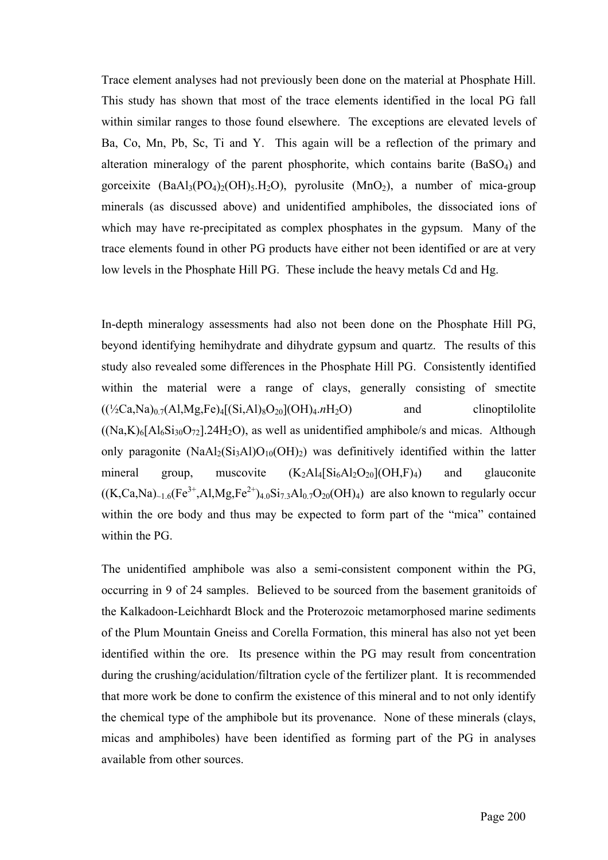Trace element analyses had not previously been done on the material at Phosphate Hill. This study has shown that most of the trace elements identified in the local PG fall within similar ranges to those found elsewhere. The exceptions are elevated levels of Ba, Co, Mn, Pb, Sc, Ti and Y. This again will be a reflection of the primary and alteration mineralogy of the parent phosphorite, which contains barite (BaSO4) and gorceixite  $(BaAl_3(PO_4)_{2}(OH)_{5}H_{2}O)$ , pyrolusite  $(MnO_2)$ , a number of mica-group minerals (as discussed above) and unidentified amphiboles, the dissociated ions of which may have re-precipitated as complex phosphates in the gypsum. Many of the trace elements found in other PG products have either not been identified or are at very low levels in the Phosphate Hill PG. These include the heavy metals Cd and Hg.

In-depth mineralogy assessments had also not been done on the Phosphate Hill PG, beyond identifying hemihydrate and dihydrate gypsum and quartz. The results of this study also revealed some differences in the Phosphate Hill PG. Consistently identified within the material were a range of clays, generally consisting of smectite  $((\frac{1}{2}Ca,Na)_{0.7}(Al,Mg,Fe)_{4}[(Si,Al)_{8}O_{20}](OH)_{4.7}H_{2}O)$  and clinoptilolite  $(Na,K)_{6}[Al_{6}Si_{30}O_{72}]$ .24H<sub>2</sub>O), as well as unidentified amphibole/s and micas. Although only paragonite  $(NaAl<sub>2</sub>(Si<sub>3</sub>Al)O<sub>10</sub>(OH)<sub>2</sub>)$  was definitively identified within the latter mineral group, muscovite  $(K_2A1_4[Si_6A1_2O_{20}](OH, F)_4)$  and glauconite  $((K,Ca,Na)_{\sim 1.6}(Fe^{3+},Al,Mg,Fe^{2+})_{4.0}Si_{7.3}Al_{0.7}O_{20}(OH)_4)$  are also known to regularly occur within the ore body and thus may be expected to form part of the "mica" contained within the PG.

The unidentified amphibole was also a semi-consistent component within the PG, occurring in 9 of 24 samples. Believed to be sourced from the basement granitoids of the Kalkadoon-Leichhardt Block and the Proterozoic metamorphosed marine sediments of the Plum Mountain Gneiss and Corella Formation, this mineral has also not yet been identified within the ore. Its presence within the PG may result from concentration during the crushing/acidulation/filtration cycle of the fertilizer plant. It is recommended that more work be done to confirm the existence of this mineral and to not only identify the chemical type of the amphibole but its provenance. None of these minerals (clays, micas and amphiboles) have been identified as forming part of the PG in analyses available from other sources.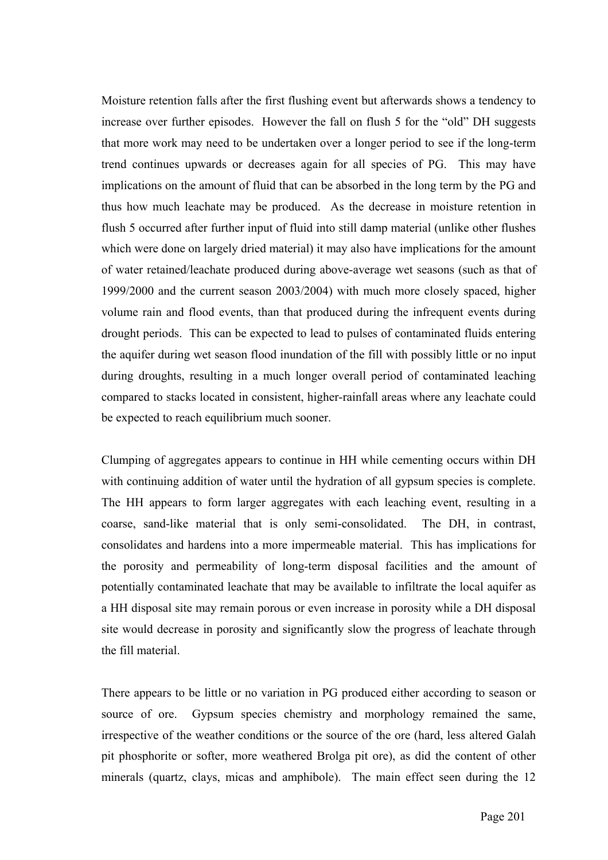Moisture retention falls after the first flushing event but afterwards shows a tendency to increase over further episodes. However the fall on flush 5 for the "old" DH suggests that more work may need to be undertaken over a longer period to see if the long-term trend continues upwards or decreases again for all species of PG. This may have implications on the amount of fluid that can be absorbed in the long term by the PG and thus how much leachate may be produced. As the decrease in moisture retention in flush 5 occurred after further input of fluid into still damp material (unlike other flushes which were done on largely dried material) it may also have implications for the amount of water retained/leachate produced during above-average wet seasons (such as that of 1999/2000 and the current season 2003/2004) with much more closely spaced, higher volume rain and flood events, than that produced during the infrequent events during drought periods. This can be expected to lead to pulses of contaminated fluids entering the aquifer during wet season flood inundation of the fill with possibly little or no input during droughts, resulting in a much longer overall period of contaminated leaching compared to stacks located in consistent, higher-rainfall areas where any leachate could be expected to reach equilibrium much sooner.

Clumping of aggregates appears to continue in HH while cementing occurs within DH with continuing addition of water until the hydration of all gypsum species is complete. The HH appears to form larger aggregates with each leaching event, resulting in a coarse, sand-like material that is only semi-consolidated. The DH, in contrast, consolidates and hardens into a more impermeable material. This has implications for the porosity and permeability of long-term disposal facilities and the amount of potentially contaminated leachate that may be available to infiltrate the local aquifer as a HH disposal site may remain porous or even increase in porosity while a DH disposal site would decrease in porosity and significantly slow the progress of leachate through the fill material.

There appears to be little or no variation in PG produced either according to season or source of ore. Gypsum species chemistry and morphology remained the same, irrespective of the weather conditions or the source of the ore (hard, less altered Galah pit phosphorite or softer, more weathered Brolga pit ore), as did the content of other minerals (quartz, clays, micas and amphibole). The main effect seen during the 12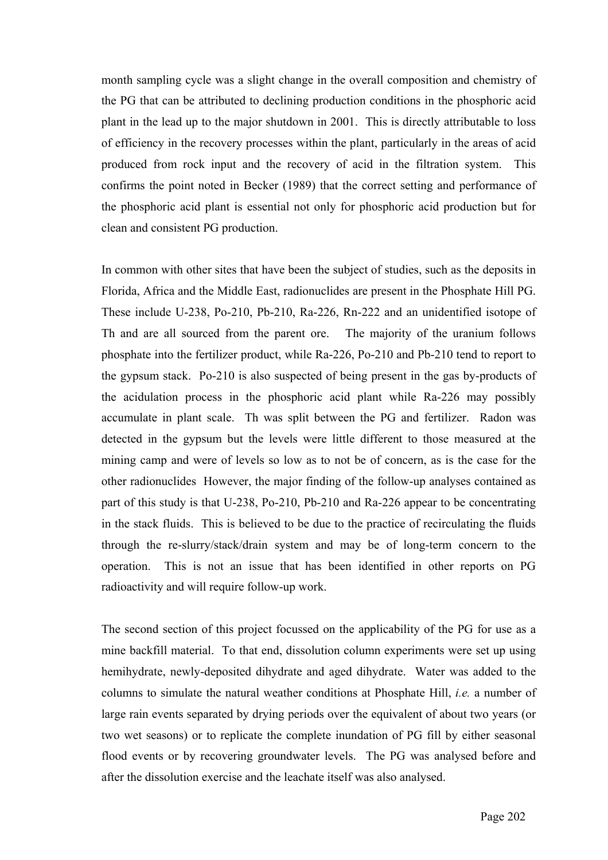month sampling cycle was a slight change in the overall composition and chemistry of the PG that can be attributed to declining production conditions in the phosphoric acid plant in the lead up to the major shutdown in 2001. This is directly attributable to loss of efficiency in the recovery processes within the plant, particularly in the areas of acid produced from rock input and the recovery of acid in the filtration system. This confirms the point noted in Becker (1989) that the correct setting and performance of the phosphoric acid plant is essential not only for phosphoric acid production but for clean and consistent PG production.

In common with other sites that have been the subject of studies, such as the deposits in Florida, Africa and the Middle East, radionuclides are present in the Phosphate Hill PG. These include U-238, Po-210, Pb-210, Ra-226, Rn-222 and an unidentified isotope of Th and are all sourced from the parent ore. The majority of the uranium follows phosphate into the fertilizer product, while Ra-226, Po-210 and Pb-210 tend to report to the gypsum stack. Po-210 is also suspected of being present in the gas by-products of the acidulation process in the phosphoric acid plant while Ra-226 may possibly accumulate in plant scale. Th was split between the PG and fertilizer. Radon was detected in the gypsum but the levels were little different to those measured at the mining camp and were of levels so low as to not be of concern, as is the case for the other radionuclides However, the major finding of the follow-up analyses contained as part of this study is that U-238, Po-210, Pb-210 and Ra-226 appear to be concentrating in the stack fluids. This is believed to be due to the practice of recirculating the fluids through the re-slurry/stack/drain system and may be of long-term concern to the operation. This is not an issue that has been identified in other reports on PG radioactivity and will require follow-up work.

The second section of this project focussed on the applicability of the PG for use as a mine backfill material. To that end, dissolution column experiments were set up using hemihydrate, newly-deposited dihydrate and aged dihydrate. Water was added to the columns to simulate the natural weather conditions at Phosphate Hill, *i.e.* a number of large rain events separated by drying periods over the equivalent of about two years (or two wet seasons) or to replicate the complete inundation of PG fill by either seasonal flood events or by recovering groundwater levels. The PG was analysed before and after the dissolution exercise and the leachate itself was also analysed.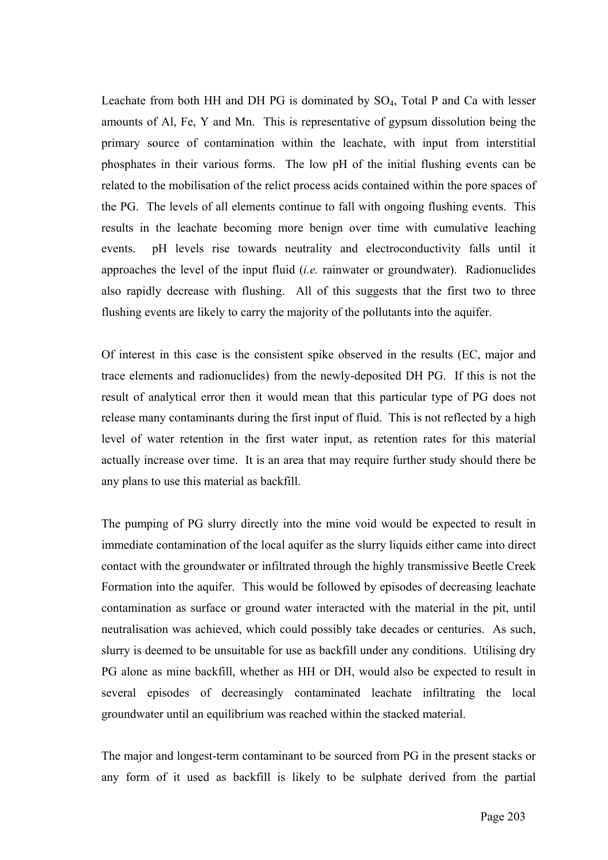Leachate from both HH and DH PG is dominated by  $SO_4$ , Total P and Ca with lesser amounts of Al, Fe, Y and Mn. This is representative of gypsum dissolution being the primary source of contamination within the leachate, with input from interstitial phosphates in their various forms. The low pH of the initial flushing events can be related to the mobilisation of the relict process acids contained within the pore spaces of the PG. The levels of all elements continue to fall with ongoing flushing events. This results in the leachate becoming more benign over time with cumulative leaching events. pH levels rise towards neutrality and electroconductivity falls until it approaches the level of the input fluid (*i.e.* rainwater or groundwater). Radionuclides also rapidly decrease with flushing. All of this suggests that the first two to three flushing events are likely to carry the majority of the pollutants into the aquifer.

Of interest in this case is the consistent spike observed in the results (EC, major and trace elements and radionuclides) from the newly-deposited DH PG. If this is not the result of analytical error then it would mean that this particular type of PG does not release many contaminants during the first input of fluid. This is not reflected by a high level of water retention in the first water input, as retention rates for this material actually increase over time. It is an area that may require further study should there be any plans to use this material as backfill.

The pumping of PG slurry directly into the mine void would be expected to result in immediate contamination of the local aquifer as the slurry liquids either came into direct contact with the groundwater or infiltrated through the highly transmissive Beetle Creek Formation into the aquifer. This would be followed by episodes of decreasing leachate contamination as surface or ground water interacted with the material in the pit, until neutralisation was achieved, which could possibly take decades or centuries. As such, slurry is deemed to be unsuitable for use as backfill under any conditions. Utilising dry PG alone as mine backfill, whether as HH or DH, would also be expected to result in several episodes of decreasingly contaminated leachate infiltrating the local groundwater until an equilibrium was reached within the stacked material.

The major and longest-term contaminant to be sourced from PG in the present stacks or any form of it used as backfill is likely to be sulphate derived from the partial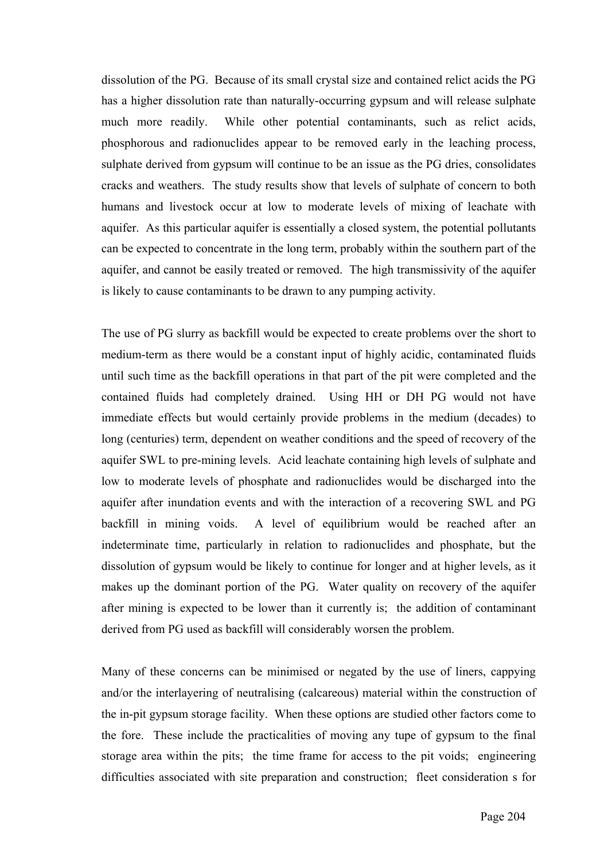dissolution of the PG. Because of its small crystal size and contained relict acids the PG has a higher dissolution rate than naturally-occurring gypsum and will release sulphate much more readily. While other potential contaminants, such as relict acids, phosphorous and radionuclides appear to be removed early in the leaching process, sulphate derived from gypsum will continue to be an issue as the PG dries, consolidates cracks and weathers. The study results show that levels of sulphate of concern to both humans and livestock occur at low to moderate levels of mixing of leachate with aquifer. As this particular aquifer is essentially a closed system, the potential pollutants can be expected to concentrate in the long term, probably within the southern part of the aquifer, and cannot be easily treated or removed. The high transmissivity of the aquifer is likely to cause contaminants to be drawn to any pumping activity.

The use of PG slurry as backfill would be expected to create problems over the short to medium-term as there would be a constant input of highly acidic, contaminated fluids until such time as the backfill operations in that part of the pit were completed and the contained fluids had completely drained. Using HH or DH PG would not have immediate effects but would certainly provide problems in the medium (decades) to long (centuries) term, dependent on weather conditions and the speed of recovery of the aquifer SWL to pre-mining levels. Acid leachate containing high levels of sulphate and low to moderate levels of phosphate and radionuclides would be discharged into the aquifer after inundation events and with the interaction of a recovering SWL and PG backfill in mining voids. A level of equilibrium would be reached after an indeterminate time, particularly in relation to radionuclides and phosphate, but the dissolution of gypsum would be likely to continue for longer and at higher levels, as it makes up the dominant portion of the PG. Water quality on recovery of the aquifer after mining is expected to be lower than it currently is; the addition of contaminant derived from PG used as backfill will considerably worsen the problem.

Many of these concerns can be minimised or negated by the use of liners, cappying and/or the interlayering of neutralising (calcareous) material within the construction of the in-pit gypsum storage facility. When these options are studied other factors come to the fore. These include the practicalities of moving any tupe of gypsum to the final storage area within the pits; the time frame for access to the pit voids; engineering difficulties associated with site preparation and construction; fleet consideration s for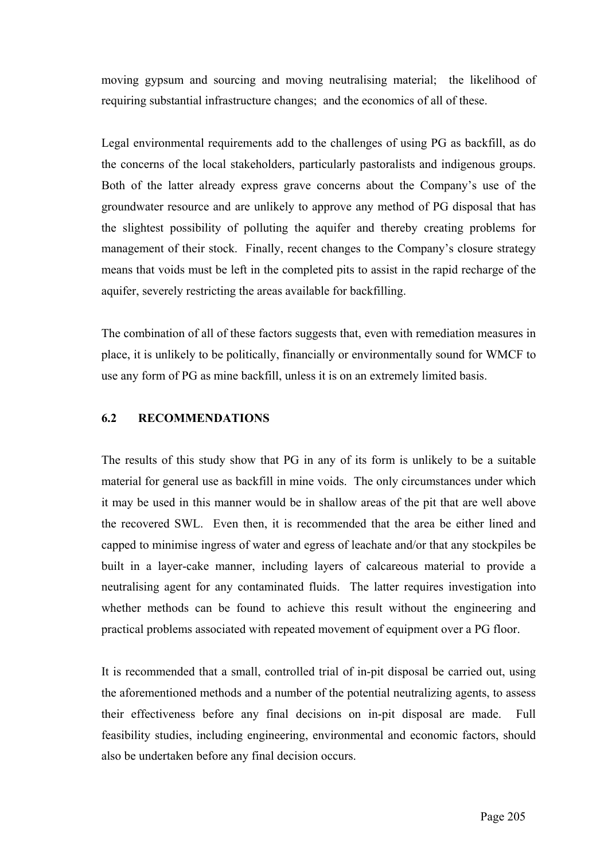moving gypsum and sourcing and moving neutralising material; the likelihood of requiring substantial infrastructure changes; and the economics of all of these.

Legal environmental requirements add to the challenges of using PG as backfill, as do the concerns of the local stakeholders, particularly pastoralists and indigenous groups. Both of the latter already express grave concerns about the Company's use of the groundwater resource and are unlikely to approve any method of PG disposal that has the slightest possibility of polluting the aquifer and thereby creating problems for management of their stock. Finally, recent changes to the Company's closure strategy means that voids must be left in the completed pits to assist in the rapid recharge of the aquifer, severely restricting the areas available for backfilling.

The combination of all of these factors suggests that, even with remediation measures in place, it is unlikely to be politically, financially or environmentally sound for WMCF to use any form of PG as mine backfill, unless it is on an extremely limited basis.

## **6.2 RECOMMENDATIONS**

The results of this study show that PG in any of its form is unlikely to be a suitable material for general use as backfill in mine voids. The only circumstances under which it may be used in this manner would be in shallow areas of the pit that are well above the recovered SWL. Even then, it is recommended that the area be either lined and capped to minimise ingress of water and egress of leachate and/or that any stockpiles be built in a layer-cake manner, including layers of calcareous material to provide a neutralising agent for any contaminated fluids. The latter requires investigation into whether methods can be found to achieve this result without the engineering and practical problems associated with repeated movement of equipment over a PG floor.

It is recommended that a small, controlled trial of in-pit disposal be carried out, using the aforementioned methods and a number of the potential neutralizing agents, to assess their effectiveness before any final decisions on in-pit disposal are made. Full feasibility studies, including engineering, environmental and economic factors, should also be undertaken before any final decision occurs.